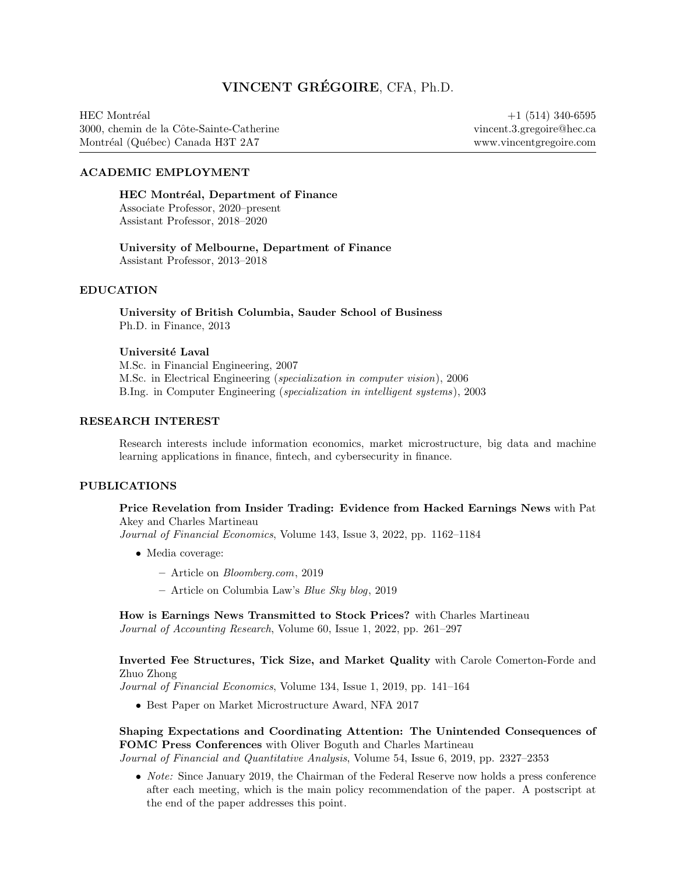# VINCENT GRÉGOIRE, CFA, Ph.D.

HEC Montréal 3000, chemin de la Cˆote-Sainte-Catherine Montréal (Québec) Canada H3T 2A7

+1 (514) 340-6595 [vincent.3.gregoire@hec.ca](mailto:vincent.3.gregoire@hec.ca) [www.vincentgregoire.com](http://www.vincentgregoire.com)

# ACADEMIC EMPLOYMENT

HEC Montréal, Department of Finance Associate Professor, 2020–present Assistant Professor, 2018–2020

University of Melbourne, Department of Finance Assistant Professor, 2013–2018

# EDUCATION

University of British Columbia, Sauder School of Business Ph.D. in Finance, 2013

#### Université Laval

M.Sc. in Financial Engineering, 2007 M.Sc. in Electrical Engineering (specialization in computer vision), 2006 B.Ing. in Computer Engineering (specialization in intelligent systems), 2003

#### RESEARCH INTEREST

Research interests include information economics, market microstructure, big data and machine learning applications in finance, fintech, and cybersecurity in finance.

### PUBLICATIONS

[Price Revelation from Insider Trading: Evidence from Hacked Earnings News](https://doi.org/10.1016/j.jfineco.2021.12.006) with Pat Akey and Charles Martineau

Journal of Financial Economics, Volume 143, Issue 3, 2022, pp. 1162–1184

- Media coverage:
	- Article on [Bloomberg.com](https://www.bloomberg.com/news/articles/2019-04-22/the-market-knew-about-the-press-release-hackers-before-the-cops), 2019
	- [Article on Columbia Law's](http://clsbluesky.law.columbia.edu/2019/07/10/price-revelation-from-insider-trading-evidence-from-hacked-earnings-news/) Blue Sky blog, 2019

[How is Earnings News Transmitted to Stock Prices?](https://doi.org/10.1111/1475-679X.12394) with Charles Martineau Journal of Accounting Research, Volume 60, Issue 1, 2022, pp. 261–297

### [Inverted Fee Structures, Tick Size, and Market Quality](https://doi.org/10.1016/j.jfineco.2019.03.005) with Carole Comerton-Forde and Zhuo Zhong

Journal of Financial Economics, Volume 134, Issue 1, 2019, pp. 141–164

• Best Paper on Market Microstructure Award, NFA 2017

[Shaping Expectations and Coordinating Attention: The Unintended Consequences of](https://doi.org/10.1017/S0022109018001357) [FOMC Press Conferences](https://doi.org/10.1017/S0022109018001357) with Oliver Boguth and Charles Martineau

Journal of Financial and Quantitative Analysis, Volume 54, Issue 6, 2019, pp. 2327–2353

• *Note:* Since January 2019, the Chairman of the Federal Reserve now holds a press conference after each meeting, which is the main policy recommendation of the paper. A postscript at the end of the paper addresses this point.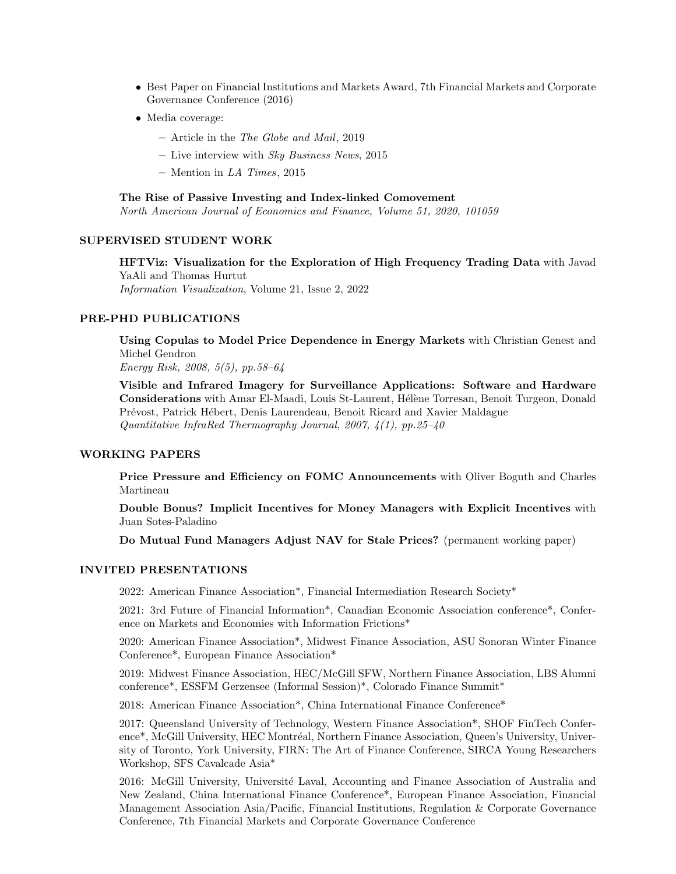- Best Paper on Financial Institutions and Markets Award, 7th Financial Markets and Corporate Governance Conference (2016)
- Media coverage:
	- Article in the [The Globe and Mail](https://www.theglobeandmail.com/business/careers/business-education/article-greater-transparency-in-business-can-have-unintended-consequences/), 2019
	- Live interview with Sky Business News, 2015
	- [Mention in](http://www.latimes.com/business/la-fi-yellen-hike-analysis-20151216-story.html)  $LA$  Times, 2015

[The Rise of Passive Investing and Index-linked Comovement](https://doi.org/10.1016/j.najef.2019.101059)

North American Journal of Economics and Finance, Volume 51, 2020, 101059

#### SUPERVISED STUDENT WORK

[HFTViz: Visualization for the Exploration of High Frequency Trading Data](https://doi.org/10.1177/14738716211064921) with Javad YaAli and Thomas Hurtut Information Visualization, Volume 21, Issue 2, 2022

#### PRE-PHD PUBLICATIONS

[Using Copulas to Model Price Dependence in Energy Markets](http://citeseerx.ist.psu.edu/viewdoc/download?doi=10.1.1.461.3276&rep=rep1&type=pdf) with Christian Genest and Michel Gendron

Energy Risk, 2008, 5(5), pp.58–64

[Visible and Infrared Imagery for Surveillance Applications: Software and Hardware](http://dx.doi.org/10.3166/qirt.4.25-40) [Considerations](http://dx.doi.org/10.3166/qirt.4.25-40) with Amar El-Maadi, Louis St-Laurent, Hélène Torresan, Benoit Turgeon, Donald Prévost, Patrick Hébert, Denis Laurendeau, Benoit Ricard and Xavier Maldague Quantitative InfraRed Thermography Journal, 2007, 4(1), pp.25–40

# WORKING PAPERS

[Price Pressure and Efficiency on FOMC Announcements](https://papers.ssrn.com/sol3/papers.cfm?abstract_id=3350687) with Oliver Boguth and Charles Martineau

[Double Bonus? Implicit Incentives for Money Managers with Explicit Incentives](https://papers.ssrn.com/sol3/papers.cfm?abstract_id=2980599) with Juan Sotes-Paladino

[Do Mutual Fund Managers Adjust NAV for Stale Prices?](https://ssrn.com/abstract=1928321) (permanent working paper)

## INVITED PRESENTATIONS

2022: American Finance Association\*, Financial Intermediation Research Society\*

2021: 3rd Future of Financial Information\*, Canadian Economic Association conference\*, Conference on Markets and Economies with Information Frictions\*

2020: American Finance Association\*, Midwest Finance Association, ASU Sonoran Winter Finance Conference\*, European Finance Association\*

2019: Midwest Finance Association, HEC/McGill SFW, Northern Finance Association, LBS Alumni conference\*, ESSFM Gerzensee (Informal Session)\*, Colorado Finance Summit\*

2018: American Finance Association\*, China International Finance Conference\*

2017: Queensland University of Technology, Western Finance Association\*, SHOF FinTech Conference\*, McGill University, HEC Montréal, Northern Finance Association, Queen's University, University of Toronto, York University, FIRN: The Art of Finance Conference, SIRCA Young Researchers Workshop, SFS Cavalcade Asia\*

2016: McGill University, Université Laval, Accounting and Finance Association of Australia and New Zealand, China International Finance Conference\*, European Finance Association, Financial Management Association Asia/Pacific, Financial Institutions, Regulation & Corporate Governance Conference, 7th Financial Markets and Corporate Governance Conference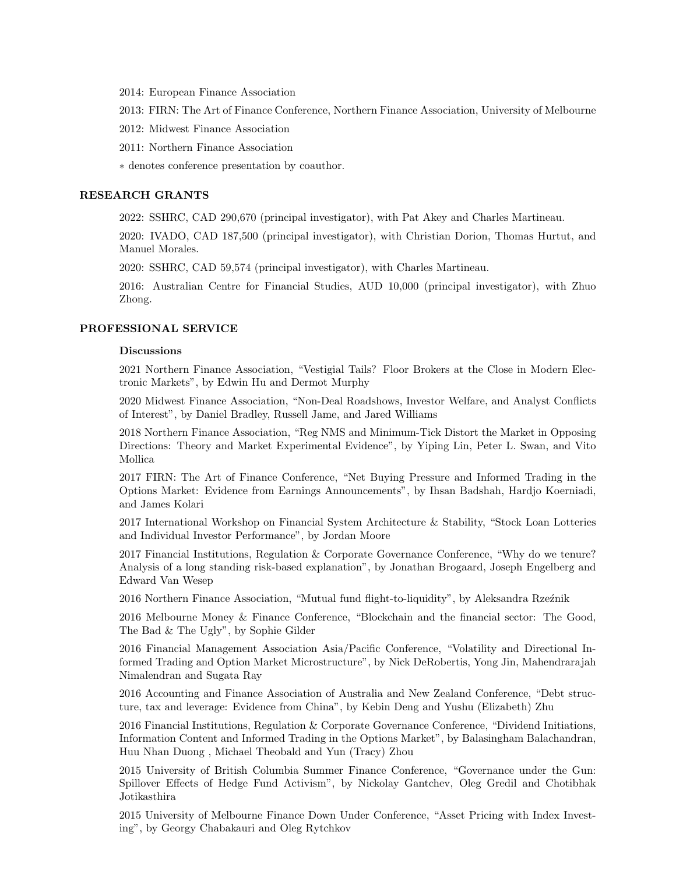2014: European Finance Association

2013: FIRN: The Art of Finance Conference, Northern Finance Association, University of Melbourne

2012: Midwest Finance Association

2011: Northern Finance Association

∗ denotes conference presentation by coauthor.

### RESEARCH GRANTS

2022: SSHRC, CAD 290,670 (principal investigator), with Pat Akey and Charles Martineau.

2020: IVADO, CAD 187,500 (principal investigator), with Christian Dorion, Thomas Hurtut, and Manuel Morales.

2020: SSHRC, CAD 59,574 (principal investigator), with Charles Martineau.

2016: Australian Centre for Financial Studies, AUD 10,000 (principal investigator), with Zhuo Zhong.

#### PROFESSIONAL SERVICE

#### Discussions

2021 Northern Finance Association, "Vestigial Tails? Floor Brokers at the Close in Modern Electronic Markets", by Edwin Hu and Dermot Murphy

2020 Midwest Finance Association, "Non-Deal Roadshows, Investor Welfare, and Analyst Conflicts of Interest", by Daniel Bradley, Russell Jame, and Jared Williams

2018 Northern Finance Association, "Reg NMS and Minimum-Tick Distort the Market in Opposing Directions: Theory and Market Experimental Evidence", by Yiping Lin, Peter L. Swan, and Vito Mollica

2017 FIRN: The Art of Finance Conference, "Net Buying Pressure and Informed Trading in the Options Market: Evidence from Earnings Announcements", by Ihsan Badshah, Hardjo Koerniadi, and James Kolari

2017 International Workshop on Financial System Architecture & Stability, "Stock Loan Lotteries and Individual Investor Performance", by Jordan Moore

2017 Financial Institutions, Regulation & Corporate Governance Conference, "Why do we tenure? Analysis of a long standing risk-based explanation", by Jonathan Brogaard, Joseph Engelberg and Edward Van Wesep

2016 Northern Finance Association, "Mutual fund flight-to-liquidity", by Aleksandra Rzeźnik

2016 Melbourne Money & Finance Conference, "Blockchain and the financial sector: The Good, The Bad & The Ugly", by Sophie Gilder

2016 Financial Management Association Asia/Pacific Conference, "Volatility and Directional Informed Trading and Option Market Microstructure", by Nick DeRobertis, Yong Jin, Mahendrarajah Nimalendran and Sugata Ray

2016 Accounting and Finance Association of Australia and New Zealand Conference, "Debt structure, tax and leverage: Evidence from China", by Kebin Deng and Yushu (Elizabeth) Zhu

2016 Financial Institutions, Regulation & Corporate Governance Conference, "Dividend Initiations, Information Content and Informed Trading in the Options Market", by Balasingham Balachandran, Huu Nhan Duong , Michael Theobald and Yun (Tracy) Zhou

2015 University of British Columbia Summer Finance Conference, "Governance under the Gun: Spillover Effects of Hedge Fund Activism", by Nickolay Gantchev, Oleg Gredil and Chotibhak Jotikasthira

2015 University of Melbourne Finance Down Under Conference, "Asset Pricing with Index Investing", by Georgy Chabakauri and Oleg Rytchkov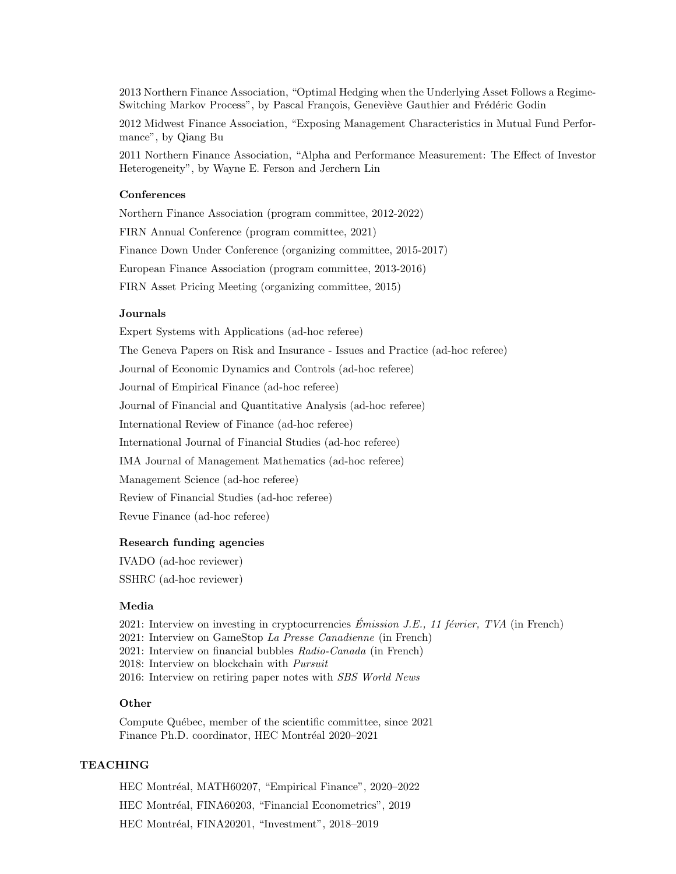2013 Northern Finance Association, "Optimal Hedging when the Underlying Asset Follows a Regime-Switching Markov Process", by Pascal François, Geneviève Gauthier and Frédéric Godin

2012 Midwest Finance Association, "Exposing Management Characteristics in Mutual Fund Performance", by Qiang Bu

2011 Northern Finance Association, "Alpha and Performance Measurement: The Effect of Investor Heterogeneity", by Wayne E. Ferson and Jerchern Lin

#### **Conferences**

Northern Finance Association (program committee, 2012-2022) FIRN Annual Conference (program committee, 2021) Finance Down Under Conference (organizing committee, 2015-2017) European Finance Association (program committee, 2013-2016) FIRN Asset Pricing Meeting (organizing committee, 2015)

#### **Journals**

Expert Systems with Applications (ad-hoc referee)

The Geneva Papers on Risk and Insurance - Issues and Practice (ad-hoc referee)

Journal of Economic Dynamics and Controls (ad-hoc referee)

Journal of Empirical Finance (ad-hoc referee)

Journal of Financial and Quantitative Analysis (ad-hoc referee)

International Review of Finance (ad-hoc referee)

International Journal of Financial Studies (ad-hoc referee)

IMA Journal of Management Mathematics (ad-hoc referee)

Management Science (ad-hoc referee)

Review of Financial Studies (ad-hoc referee)

Revue Finance (ad-hoc referee)

#### Research funding agencies

IVADO (ad-hoc reviewer) SSHRC (ad-hoc reviewer)

### Media

2021: [Interview on investing in cryptocurrencies](https://www.tvanouvelles.ca/emissions/je)  $Émission J.E., 11 février, TVA$  (in French) 2021: [Interview on GameStop](https://www.lapresse.ca/affaires/2021-01-28/speculation-boursiere/des-boursicoteurs-quebecois-interesses-par-la-frenesie.php) La Presse Canadienne (in French)

2021: [Interview on financial bubbles](https://ici.radio-canada.ca/nouvelle/1771259/marches-boursiers-nouveaux-sommets-investissements) Radio-Canada (in French)

2018: [Interview on blockchain with](https://pursuit.unimelb.edu.au/articles/blockchain-lucrative-buzzword-or-legitimate-game-changer) Pursuit

2016: [Interview on retiring paper notes with](https://vimeo.com/191921113/d8a95f3259) SBS World News

## **Other**

Compute Québec, member of the scientific committee, since 2021 Finance Ph.D. coordinator, HEC Montréal 2020–2021

# TEACHING

HEC Montréal, MATH60207, "Empirical Finance", 2020-2022 HEC Montréal, FINA60203, "Financial Econometrics", 2019 HEC Montréal, FINA20201, "Investment", 2018–2019